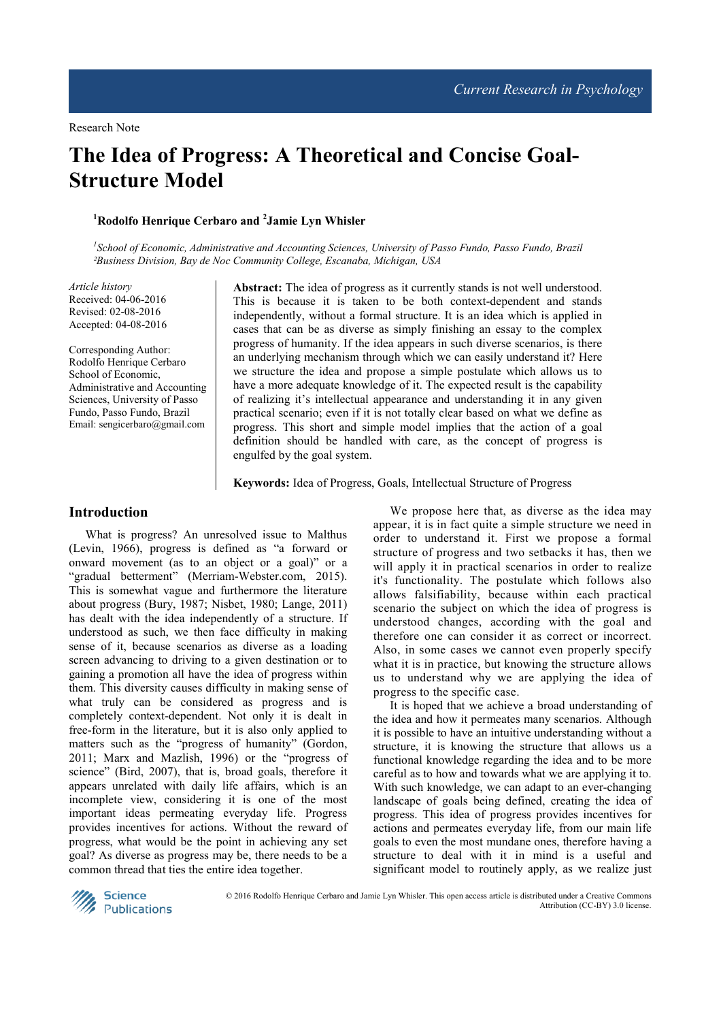# **The Idea of Progress: A Theoretical and Concise Goal-Structure Model**

## **<sup>1</sup>Rodolfo Henrique Cerbaro and <sup>2</sup> Jamie Lyn Whisler**

<sup>1</sup> School of Economic, Administrative and Accounting Sciences, University of Passo Fundo, Passo Fundo, Brazil *²Business Division, Bay de Noc Community College, Escanaba, Michigan, USA*

*Article history*  Received: 04-06-2016 Revised: 02-08-2016 Accepted: 04-08-2016

Corresponding Author: Rodolfo Henrique Cerbaro School of Economic, Administrative and Accounting Sciences, University of Passo Fundo, Passo Fundo, Brazil Email: sengicerbaro@gmail.com

**Abstract:** The idea of progress as it currently stands is not well understood. This is because it is taken to be both context-dependent and stands independently, without a formal structure. It is an idea which is applied in cases that can be as diverse as simply finishing an essay to the complex progress of humanity. If the idea appears in such diverse scenarios, is there an underlying mechanism through which we can easily understand it? Here we structure the idea and propose a simple postulate which allows us to have a more adequate knowledge of it. The expected result is the capability of realizing it's intellectual appearance and understanding it in any given practical scenario; even if it is not totally clear based on what we define as progress. This short and simple model implies that the action of a goal definition should be handled with care, as the concept of progress is engulfed by the goal system.

**Keywords:** Idea of Progress, Goals, Intellectual Structure of Progress

## **Introduction**

What is progress? An unresolved issue to Malthus (Levin, 1966), progress is defined as "a forward or onward movement (as to an object or a goal)" or a "gradual betterment" (Merriam-Webster.com, 2015). This is somewhat vague and furthermore the literature about progress (Bury, 1987; Nisbet, 1980; Lange, 2011) has dealt with the idea independently of a structure. If understood as such, we then face difficulty in making sense of it, because scenarios as diverse as a loading screen advancing to driving to a given destination or to gaining a promotion all have the idea of progress within them. This diversity causes difficulty in making sense of what truly can be considered as progress and is completely context-dependent. Not only it is dealt in free-form in the literature, but it is also only applied to matters such as the "progress of humanity" (Gordon, 2011; Marx and Mazlish, 1996) or the "progress of science" (Bird, 2007), that is, broad goals, therefore it appears unrelated with daily life affairs, which is an incomplete view, considering it is one of the most important ideas permeating everyday life. Progress provides incentives for actions. Without the reward of progress, what would be the point in achieving any set goal? As diverse as progress may be, there needs to be a common thread that ties the entire idea together.

We propose here that, as diverse as the idea may appear, it is in fact quite a simple structure we need in order to understand it. First we propose a formal structure of progress and two setbacks it has, then we will apply it in practical scenarios in order to realize it's functionality. The postulate which follows also allows falsifiability, because within each practical scenario the subject on which the idea of progress is understood changes, according with the goal and therefore one can consider it as correct or incorrect. Also, in some cases we cannot even properly specify what it is in practice, but knowing the structure allows us to understand why we are applying the idea of progress to the specific case.

It is hoped that we achieve a broad understanding of the idea and how it permeates many scenarios. Although it is possible to have an intuitive understanding without a structure, it is knowing the structure that allows us a functional knowledge regarding the idea and to be more careful as to how and towards what we are applying it to. With such knowledge, we can adapt to an ever-changing landscape of goals being defined, creating the idea of progress. This idea of progress provides incentives for actions and permeates everyday life, from our main life goals to even the most mundane ones, therefore having a structure to deal with it in mind is a useful and significant model to routinely apply, as we realize just



© 2016 Rodolfo Henrique Cerbaro and Jamie Lyn Whisler. This open access article is distributed under a Creative Commons Attribution (CC-BY) 3.0 license.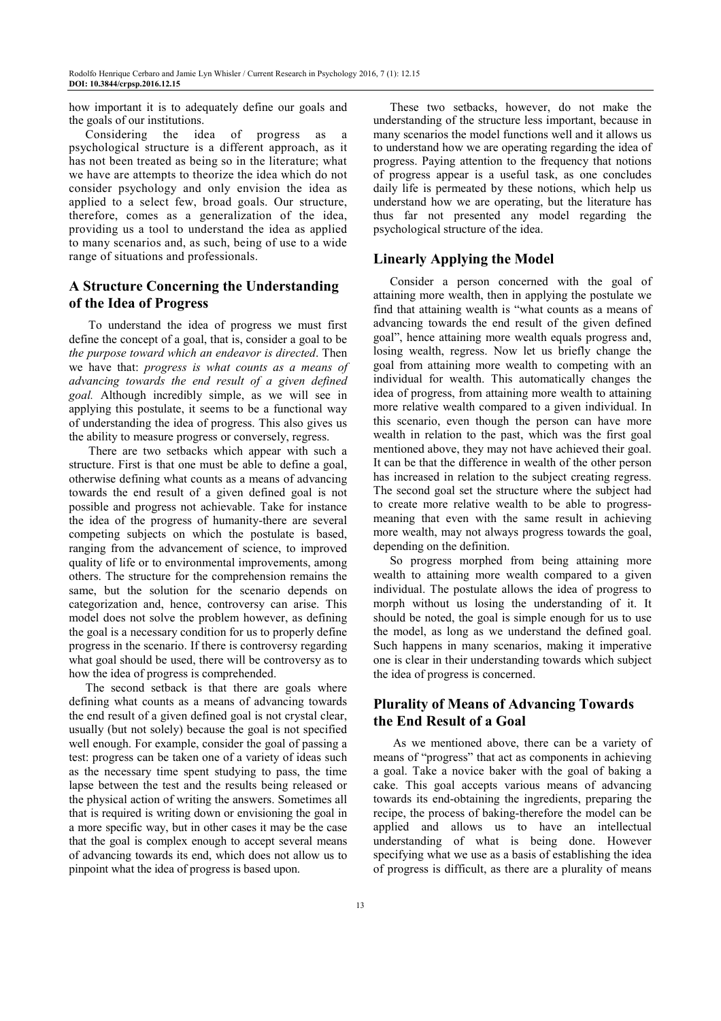how important it is to adequately define our goals and the goals of our institutions.

Considering the idea of progress as a psychological structure is a different approach, as it has not been treated as being so in the literature; what we have are attempts to theorize the idea which do not consider psychology and only envision the idea as applied to a select few, broad goals. Our structure, therefore, comes as a generalization of the idea, providing us a tool to understand the idea as applied to many scenarios and, as such, being of use to a wide range of situations and professionals.

# **A Structure Concerning the Understanding of the Idea of Progress**

 To understand the idea of progress we must first define the concept of a goal, that is, consider a goal to be *the purpose toward which an endeavor is directed*. Then we have that: *progress is what counts as a means of advancing towards the end result of a given defined goal.* Although incredibly simple, as we will see in applying this postulate, it seems to be a functional way of understanding the idea of progress. This also gives us the ability to measure progress or conversely, regress.

 There are two setbacks which appear with such a structure. First is that one must be able to define a goal, otherwise defining what counts as a means of advancing towards the end result of a given defined goal is not possible and progress not achievable. Take for instance the idea of the progress of humanity-there are several competing subjects on which the postulate is based, ranging from the advancement of science, to improved quality of life or to environmental improvements, among others. The structure for the comprehension remains the same, but the solution for the scenario depends on categorization and, hence, controversy can arise. This model does not solve the problem however, as defining the goal is a necessary condition for us to properly define progress in the scenario. If there is controversy regarding what goal should be used, there will be controversy as to how the idea of progress is comprehended.

The second setback is that there are goals where defining what counts as a means of advancing towards the end result of a given defined goal is not crystal clear, usually (but not solely) because the goal is not specified well enough. For example, consider the goal of passing a test: progress can be taken one of a variety of ideas such as the necessary time spent studying to pass, the time lapse between the test and the results being released or the physical action of writing the answers. Sometimes all that is required is writing down or envisioning the goal in a more specific way, but in other cases it may be the case that the goal is complex enough to accept several means of advancing towards its end, which does not allow us to pinpoint what the idea of progress is based upon.

These two setbacks, however, do not make the understanding of the structure less important, because in many scenarios the model functions well and it allows us to understand how we are operating regarding the idea of progress. Paying attention to the frequency that notions of progress appear is a useful task, as one concludes daily life is permeated by these notions, which help us understand how we are operating, but the literature has thus far not presented any model regarding the psychological structure of the idea.

## **Linearly Applying the Model**

Consider a person concerned with the goal of attaining more wealth, then in applying the postulate we find that attaining wealth is "what counts as a means of advancing towards the end result of the given defined goal", hence attaining more wealth equals progress and, losing wealth, regress. Now let us briefly change the goal from attaining more wealth to competing with an individual for wealth. This automatically changes the idea of progress, from attaining more wealth to attaining more relative wealth compared to a given individual. In this scenario, even though the person can have more wealth in relation to the past, which was the first goal mentioned above, they may not have achieved their goal. It can be that the difference in wealth of the other person has increased in relation to the subject creating regress. The second goal set the structure where the subject had to create more relative wealth to be able to progressmeaning that even with the same result in achieving more wealth, may not always progress towards the goal, depending on the definition.

So progress morphed from being attaining more wealth to attaining more wealth compared to a given individual. The postulate allows the idea of progress to morph without us losing the understanding of it. It should be noted, the goal is simple enough for us to use the model, as long as we understand the defined goal. Such happens in many scenarios, making it imperative one is clear in their understanding towards which subject the idea of progress is concerned.

# **Plurality of Means of Advancing Towards the End Result of a Goal**

 As we mentioned above, there can be a variety of means of "progress" that act as components in achieving a goal. Take a novice baker with the goal of baking a cake. This goal accepts various means of advancing towards its end-obtaining the ingredients, preparing the recipe, the process of baking-therefore the model can be applied and allows us to have an intellectual understanding of what is being done. However specifying what we use as a basis of establishing the idea of progress is difficult, as there are a plurality of means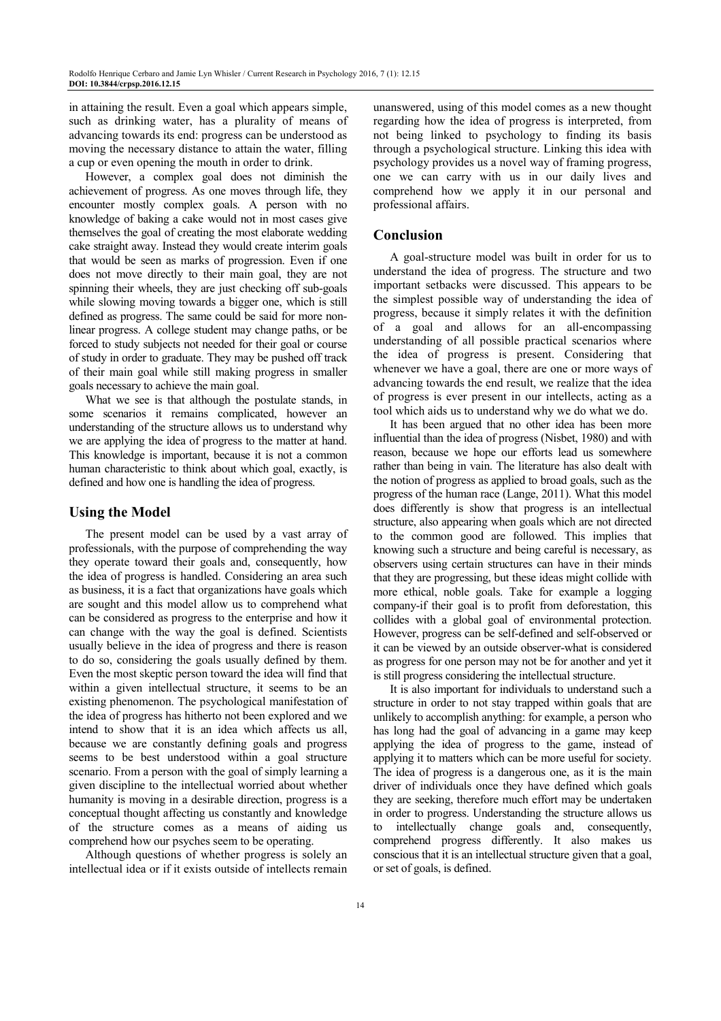in attaining the result. Even a goal which appears simple, such as drinking water, has a plurality of means of advancing towards its end: progress can be understood as moving the necessary distance to attain the water, filling a cup or even opening the mouth in order to drink.

However, a complex goal does not diminish the achievement of progress. As one moves through life, they encounter mostly complex goals. A person with no knowledge of baking a cake would not in most cases give themselves the goal of creating the most elaborate wedding cake straight away. Instead they would create interim goals that would be seen as marks of progression. Even if one does not move directly to their main goal, they are not spinning their wheels, they are just checking off sub-goals while slowing moving towards a bigger one, which is still defined as progress. The same could be said for more nonlinear progress. A college student may change paths, or be forced to study subjects not needed for their goal or course of study in order to graduate. They may be pushed off track of their main goal while still making progress in smaller goals necessary to achieve the main goal.

What we see is that although the postulate stands, in some scenarios it remains complicated, however an understanding of the structure allows us to understand why we are applying the idea of progress to the matter at hand. This knowledge is important, because it is not a common human characteristic to think about which goal, exactly, is defined and how one is handling the idea of progress.

## **Using the Model**

The present model can be used by a vast array of professionals, with the purpose of comprehending the way they operate toward their goals and, consequently, how the idea of progress is handled. Considering an area such as business, it is a fact that organizations have goals which are sought and this model allow us to comprehend what can be considered as progress to the enterprise and how it can change with the way the goal is defined. Scientists usually believe in the idea of progress and there is reason to do so, considering the goals usually defined by them. Even the most skeptic person toward the idea will find that within a given intellectual structure, it seems to be an existing phenomenon. The psychological manifestation of the idea of progress has hitherto not been explored and we intend to show that it is an idea which affects us all, because we are constantly defining goals and progress seems to be best understood within a goal structure scenario. From a person with the goal of simply learning a given discipline to the intellectual worried about whether humanity is moving in a desirable direction, progress is a conceptual thought affecting us constantly and knowledge of the structure comes as a means of aiding us comprehend how our psyches seem to be operating.

Although questions of whether progress is solely an intellectual idea or if it exists outside of intellects remain unanswered, using of this model comes as a new thought regarding how the idea of progress is interpreted, from not being linked to psychology to finding its basis through a psychological structure. Linking this idea with psychology provides us a novel way of framing progress, one we can carry with us in our daily lives and comprehend how we apply it in our personal and professional affairs.

#### **Conclusion**

A goal-structure model was built in order for us to understand the idea of progress. The structure and two important setbacks were discussed. This appears to be the simplest possible way of understanding the idea of progress, because it simply relates it with the definition of a goal and allows for an all-encompassing understanding of all possible practical scenarios where the idea of progress is present. Considering that whenever we have a goal, there are one or more ways of advancing towards the end result, we realize that the idea of progress is ever present in our intellects, acting as a tool which aids us to understand why we do what we do.

It has been argued that no other idea has been more influential than the idea of progress (Nisbet, 1980) and with reason, because we hope our efforts lead us somewhere rather than being in vain. The literature has also dealt with the notion of progress as applied to broad goals, such as the progress of the human race (Lange, 2011). What this model does differently is show that progress is an intellectual structure, also appearing when goals which are not directed to the common good are followed. This implies that knowing such a structure and being careful is necessary, as observers using certain structures can have in their minds that they are progressing, but these ideas might collide with more ethical, noble goals. Take for example a logging company-if their goal is to profit from deforestation, this collides with a global goal of environmental protection. However, progress can be self-defined and self-observed or it can be viewed by an outside observer-what is considered as progress for one person may not be for another and yet it is still progress considering the intellectual structure.

It is also important for individuals to understand such a structure in order to not stay trapped within goals that are unlikely to accomplish anything: for example, a person who has long had the goal of advancing in a game may keep applying the idea of progress to the game, instead of applying it to matters which can be more useful for society. The idea of progress is a dangerous one, as it is the main driver of individuals once they have defined which goals they are seeking, therefore much effort may be undertaken in order to progress. Understanding the structure allows us to intellectually change goals and, consequently, comprehend progress differently. It also makes us conscious that it is an intellectual structure given that a goal, or set of goals, is defined.